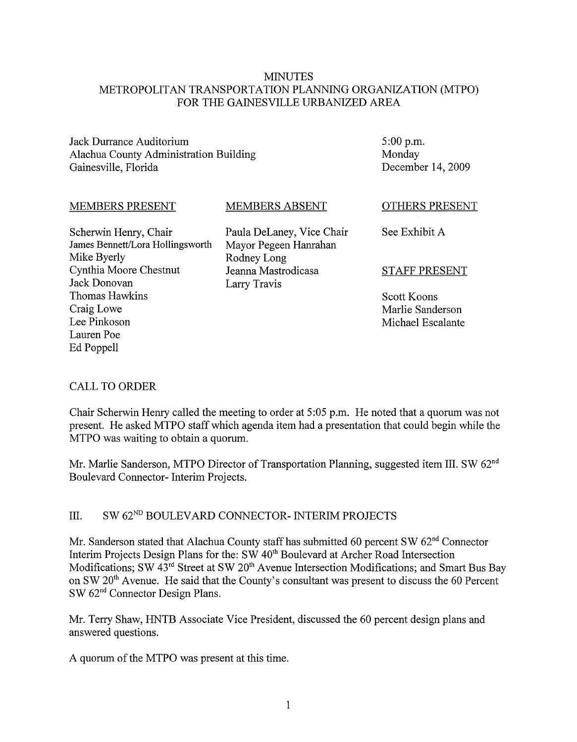#### MINUTES METROPOLITAN TRANSPORTATION PLANNING ORGANIZATION (MTPO) FOR THE GAINESVILLE URBANIZED AREA

Jack Durrance Auditorium Alachua County Administration Building Gainesville, Florida

5:00 p.m. Monday December 14,2009

#### MEMBERS PRESENT

MEMBERS ABSENT

Scherwin Henry, Chair James Bennett/Lora Hollingsworth Mike Byerly Cynthia Moore Chestnut Jack Donovan Thomas Hawkins Craig Lowe Lee Pinkoson Lauren Poe Ed Poppell

Paula DeLaney, Vice Chair Mayor Pegeen Hanrahan Rodney Long Jeanna Mastrodicasa Larry Travis

OTHERS PRESENT

See Exhibit A

#### STAFF PRESENT

Scott Koons Marlie Sanderson Michael Escalante

## CALL TO ORDER

Chair Scherwin Henry called the meeting to order at 5:05 p.m. He noted that a quorum was not present. He asked MTPO staff which agenda item had a presentation that could begin while the MTPO was waiting to obtain a quorum.

Mr. Marlie Sanderson, MTPO Director of Transportation Planning, suggested item III. SW 62<sup>nd</sup> Boulevard Connector- Interim Projects.

#### III. SW 62<sup>ND</sup> BOULEVARD CONNECTOR- INTERIM PROJECTS

Mr. Sanderson stated that Alachua County staff has submitted 60 percent SW 62<sup>nd</sup> Connector Interim Projects Design Plans for the: SW 40<sup>th</sup> Boulevard at Archer Road Intersection Modifications; SW 43<sup>rd</sup> Street at SW 20<sup>th</sup> Avenue Intersection Modifications; and Smart Bus Bay on SW 20<sup>th</sup> Avenue. He said that the County's consultant was present to discuss the 60 Percent SW 62<sup>nd</sup> Connector Design Plans.

Mr. Terry Shaw, HNTB Associate Vice President, discussed the 60 percent design plans and answered questions.

A quorum of the MTPO was present at this time.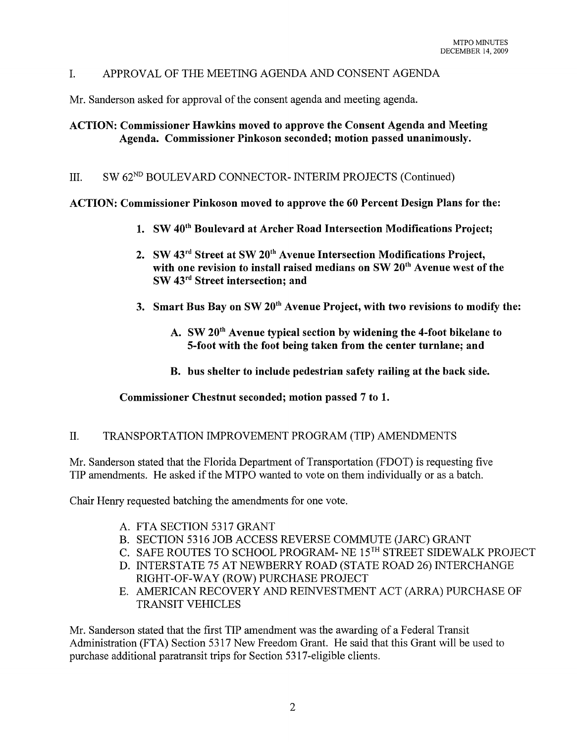#### I. APPROV AL OF THE MEETING AGENDA AND CONSENT AGENDA

Mr. Sanderson asked for approval of the consent agenda and meeting agenda.

#### ACTION: Commissioner Hawkins moved to approve the Consent Agenda and Meeting Agenda. Commissioner Pinkoson seconded; motion passed unanimously.

#### III. SW 62<sup>ND</sup> BOULEVARD CONNECTOR- INTERIM PROJECTS (Continued)

ACTION: Commissioner Pinkoson moved to approve the 60 Percent Design Plans for the:

- 1. SW 40<sup>th</sup> Boulevard at Archer Road Intersection Modifications Project;
- 2. SW 43<sup>rd</sup> Street at SW 20<sup>th</sup> Avenue Intersection Modifications Project, with one revision to install raised medians on SW 20<sup>th</sup> Avenue west of the SW 43rd Street intersection; and
- 3. Smart Bus Bay on SW  $20<sup>th</sup>$  Avenue Project, with two revisions to modify the:
	- A. SW 20<sup>th</sup> Avenue typical section by widening the 4-foot bikelane to 5-foot with the foot being taken from the center turnlane; and
	- B. bus shelter to include pedestrian safety railing at the back side.

#### Commissioner Chestnut seconded; motion passed 7 to 1.

#### II. TRANSPORTATION IMPROVEMENT PROGRAM (TIP) AMENDMENTS

Mr. Sanderson stated that the Florida Department of Transportation (FDOT) is requesting five TIP amendments. He asked if the MTPO wanted to vote on them individually or as a batch.

Chair Henry requested batching the amendments for one vote.

- A. FTA SECTION 5317 GRANT
- B. SECTION 5316 JOB ACCESS REVERSE COMMUTE (JARC) GRANT
- C. SAFE ROUTES TO SCHOOL PROGRAM- NE 15TH STREET SIDEWALK PROJECT
- D. INTERSTATE 75 AT NEWBERRY ROAD (STATE ROAD 26) INTERCHANGE RIGHT-OF-WAY (ROW) PURCHASE PROJECT
- E. AMERICAN RECOVERY AND REINVESTMENT ACT (ARRA) PURCHASE OF TRANSIT VEHICLES

Mr. Sanderson stated that the first TIP amendment was the awarding of a Federal Transit Administration (FTA) Section 5317 New Freedom Grant. He said that this Grant will be used to purchase additional paratransit trips for Section 5317 -eligible clients.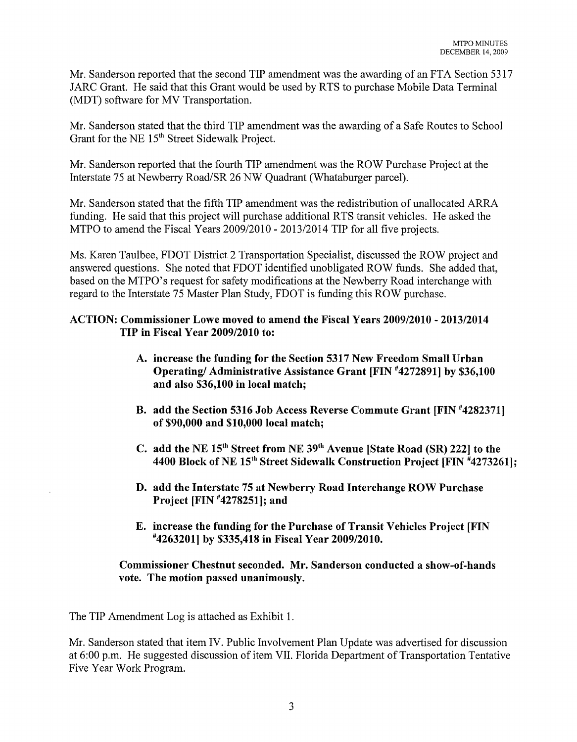Mr. Sanderson reported that the second TIP amendment was the awarding of an FTA Section 5317 JARC Grant. He said that this Grant would be used by RTS to purchase Mobile Data Terminal (MDT) software for MV Transportation.

Mr. Sanderson stated that the third TIP amendment was the awarding of a Safe Routes to School Grant for the NE 15<sup>th</sup> Street Sidewalk Project.

Mr. Sanderson reported that the fourth TIP amendment was the ROW Purchase Project at the Interstate 75 at Newberry Road/SR 26 NW Quadrant (Whataburger parcel).

Mr. Sanderson stated that the fifth TIP amendment was the redistribution of unallocated ARRA funding. He said that this project will purchase additional RTS transit vehicles. He asked the MTPO to amend the Fiscal Years 2009/2010 - 2013/2014 TIP for all five projects.

Ms. Karen Taulbee, FDOT District 2 Transportation Specialist, discussed the ROW project and answered questions. She noted that FDOT identified unobligated ROW funds. She added that, based on the MTPO's request for safety modifications at the Newberry Road interchange with regard to the Interstate 75 Master Plan Study, FDOT is funding this ROW purchase.

#### ACTION: Commissioner Lowe moved to amend the Fiscal Years 2009/2010 - 2013/2014 TIP in Fiscal Year 2009/2010 to:

- A. increase the funding for the Section 5317 New Freedom Small Urban Operating/ Administrative Assistance Grant [FIN #4272891] by \$36,100 and also \$36,100 in local match;
- B. add the Section 5316 Job Access Reverse Commute Grant [FIN #4282371] of \$90,000 and \$10,000 local match;
- C. add the NE 15<sup>th</sup> Street from NE 39<sup>th</sup> Avenue [State Road (SR) 222] to the 4400 Block of NE  $15<sup>th</sup>$  Street Sidewalk Construction Project [FIN  $*4273261$ ];
- D. add the Interstate 75 at Newberry Road Interchange ROW Purchase Project [FIN #4278251]; and
- E. increase the funding for the Purchase of Transit Vehicles Project [FIN #4263201] by \$335,418 in Fiscal Year 2009/2010.

#### Commissioner Chestnut seconded. Mr. Sanderson conducted a show-of-hands vote. The motion passed unanimously.

The TIP Amendment Log is attached as Exhibit 1.

Mr. Sanderson stated that item IV. Public Involvement Plan Update was advertised for discussion at 6:00 p.m. He suggested discussion of item VII. Florida Department of Transportation Tentative Five Year Work Program.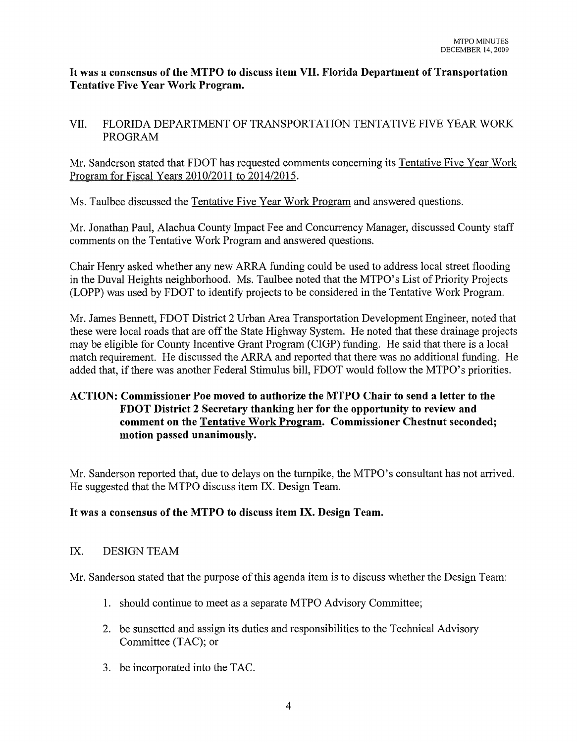#### **It was a consensus of the MTPO to discuss item VII. Florida Department of Transportation Tentative Five Year Work Program.**

## VII. FLORIDA DEPARTMENT OF TRANSPORTATION TENTATIVE FIVE YEAR WORK PROGRAM

Mr. Sanderson stated that FDOT has requested comments concerning its Tentative Five Year Work Program for Fiscal Years  $2010/2011$  to  $2014/2015$ .

Ms. Taulbee discussed the Tentative Five Year Work Program and answered questions.

Mr. Jonathan Paul, Alachua County Impact Fee and Concurrency Manager, discussed County staff comments on the Tentative Work Program and answered questions.

Chair Henry asked whether any new ARRA funding could be used to address local street flooding in the Duval Heights neighborhood. Ms. Taulbee noted that the MTPO's List of Priority Projects (LOPP) was used by FDOT to identify projects to be considered in the Tentative Work Program.

Mr. James Bennett, FDOT District 2 Urban Area Transportation Development Engineer, noted that these were local roads that are off the State Highway System. He noted that these drainage projects may be eligible for County Incentive Grant Program (CIGP) funding. He said that there is a local match requirement. He discussed the ARRA and reported that there was no additional funding. He added that, if there was another Federal Stimulus bill, FDOT would follow the MTPO's priorities.

# **ACTION: Commissioner Poe moved to authorize the MTPO Chair to send a letter to the FDOT District 2 Secretary thanking her for the opportunity to review and comment on the Tentative Work Program. Commissioner Chestnut seconded; motion passed unanimously.**

Mr. Sanderson reported that, due to delays on the turnpike, the MTPO's consultant has not arrived. He suggested that the MTPO discuss item IX. Design Team.

## **It was a consensus of the MTPO to discuss item IX. Design Team.**

## IX. DESIGN TEAM

Mr. Sanderson stated that the purpose of this agenda item is to discuss whether the Design Team:

- 1. should continue to meet as a separate MTPO Advisory Committee;
- 2. be sunsetted and assign its duties and responsibilities to the Technical Advisory Committee (TAC); or
- 3. be incorporated into the TAC.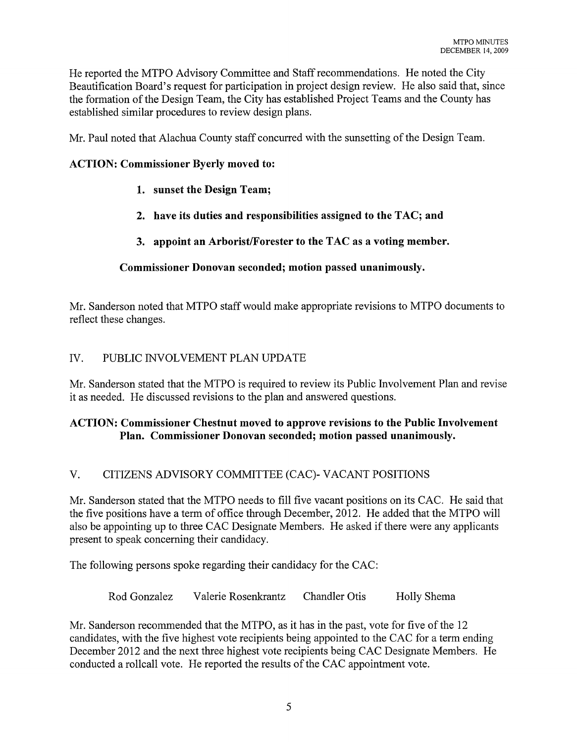He reported the MTPO Advisory Committee and Staff recommendations. He noted the City Beautification Board's request for participation in project design review. He also said that, since the formation of the Design Team, the City has established Project Teams and the County has established similar procedures to review design plans.

Mr. Paul noted that Alachua County staff concurred with the sunsetting of the Design Team.

#### ACTION: Commissioner Byerly moved to:

- 1. sunset the Design Team;
- 2. have its duties and responsibilities assigned to the TAC; and
- 3. appoint an Arborist/Forester to the TAC as a voting member.

#### Commissioner Donovan seconded; motion passed unanimously.

Mr. Sanderson noted that MTPO staff would make appropriate revisions to MTPO documents to reflect these changes.

## IV. PUBLIC INVOLVEMENT PLAN UPDATE

Mr. Sanderson stated that the MTPO is required to review its Public Involvement Plan and revise it as needed. He discussed revisions to the plan and answered questions.

## ACTION: Commissioner Chestnut moved to approve revisions to the Public Involvement Plan. Commissioner Donovan seconded; motion passed unanimously.

## V. CITIZENS ADVISORY COMMITTEE (CAC)- VACANT POSITIONS

Mr. Sanderson stated that the MTPO needs to fill five vacant positions on its CAC. He said that the five positions have a term of office through December, 2012. He added that the MTPO will also be appointing up to three CAC Designate Members. He asked if there were any applicants present to speak concerning their candidacy.

The following persons spoke regarding their candidacy for the CAC:

Rod Gonzalez Valerie Rosenkrantz Chandler Otis Holly Shema

Mr. Sanderson recommended that the MTPO, as it has in the past, vote for five of the 12 candidates, with the five highest vote recipients being appointed to the CAC for a term ending December 2012 and the next three highest vote recipients being CAC Designate Members. He conducted a rollcall vote. He reported the results of the CAC appointment vote.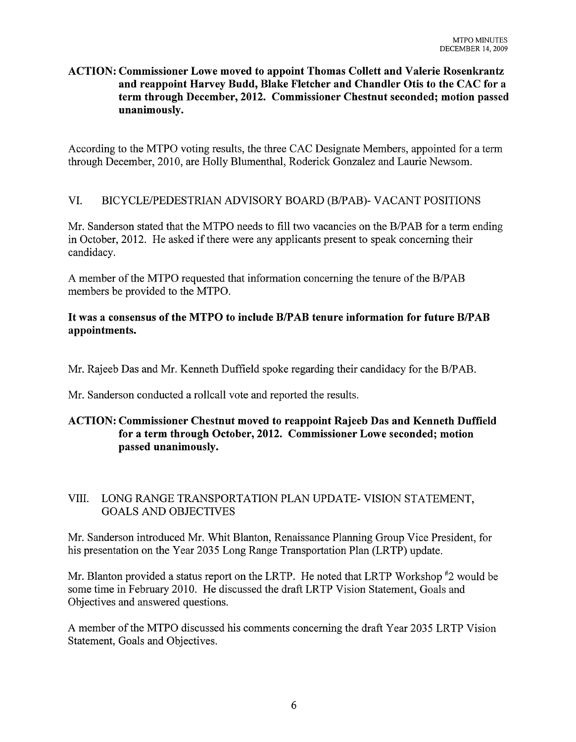#### ACTION: Commissioner Lowe moved to appoint Thomas Collett and Valerie Rosenkrantz and reappoint Harvey Budd, Blake Fletcher and Chandler Otis to the CAC for a term through December, 2012. Commissioner Chestnut seconded; motion passed unanimously.

According to the MTPO voting results, the three CAC Designate Members, appointed for a term through December, 2010, are Holly Blumenthal, Roderick Gonzalez and Laurie Newsom.

## VI. BICYCLE/PEDESTRIAN ADVISORY BOARD (B/PAB)- VACANT POSITIONS

Mr. Sanderson stated that the MTPO needs to fill two vacancies on the B/PAB for a term ending in October, 2012. He asked if there were any applicants present to speak concerning their candidacy.

A member of the MTPO requested that information concerning the tenure of the B/P AB members be provided to the MTPO.

## It was a consensus of the MTPO to include B/PAB tenure information for future B/PAB appointments.

Mr. Rajeeb Das and Mr. Kenneth Duffield spoke regarding their candidacy for the B/P AB.

Mr. Sanderson conducted a rollcall vote and reported the results.

# ACTION: Commissioner Chestnut moved to reappoint Rajeeb Das and Kenneth Duffield for a term through October, 2012. Commissioner Lowe seconded; motion passed unanimously.

# VIII. LONG RANGE TRANSPORTATION PLAN UPDATE- VISION STATEMENT, GOALS AND OBJECTIVES

Mr. Sanderson introduced Mr. Whit Blanton, Renaissance Planning Group Vice President, for his presentation on the Year 2035 Long Range Transportation Plan (LRTP) update.

Mr. Blanton provided a status report on the LRTP. He noted that LRTP Workshop  $\frac{H}{2}$  would be some time in February 2010. He discussed the draft LRTP Vision Statement, Goals and Objectives and answered questions.

A member of the MTPO discussed his comments concerning the draft Year 2035 LRTP Vision Statement, Goals and Objectives.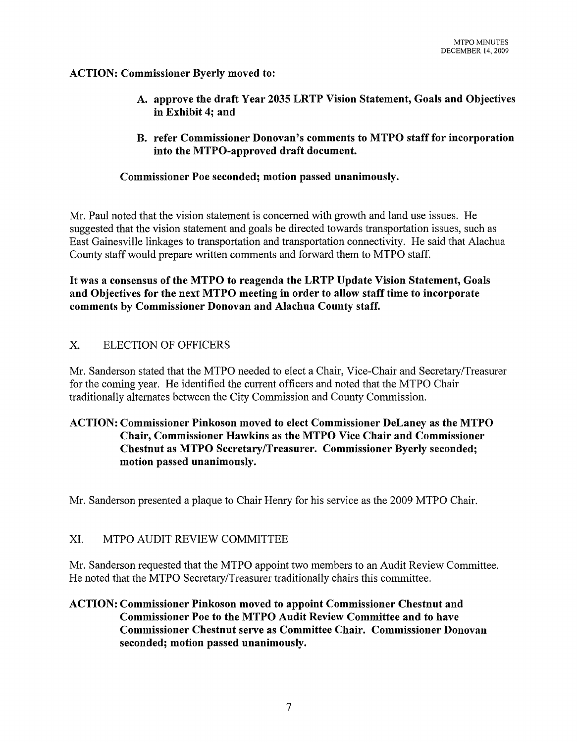#### ACTION: Commissioner Byerly moved to:

- A. approve the draft Year 2035 LRTP Vision Statement, Goals and Objectives in Exhibit 4; and
- **B.** refer Commissioner Donovan's comments to MTPO staff for incorporation into the MTPO-approved draft document.

#### Commissioner Poe seconded; motion passed unanimously.

Mr. Paul noted that the vision statement is concerned with growth and land use issues. He suggested that the vision statement and goals be directed towards transportation issues, such as East Gainesville linkages to transportation and transportation connectivity. He said that Alachua County staff would prepare written comments and forward them to MTPO staff.

It was a consensus of the MTPO to reagenda the LRTP Update Vision Statement, Goals and Objectives for the next MTPO meeting in order to **allow** staff time to incorporate comments by Commissioner Donovan and Alachua County staff.

#### X. ELECTION OF OFFICERS

Mr. Sanderson stated that the MTPO needed to elect a Chair, Vice-Chair and Secretary/Treasurer for the coming year. He identified the current officers and noted that the MTPO Chair traditionally alternates between the City Commission and County Commission.

## ACTION: Commissioner Pinkoson moved to elect Commissioner DeLaney as the MTPO Chair, Commissioner Hawkins as the MTPO Vice Chair and Commissioner Chestnut as MTPO SecretarylTreasurer. Commissioner Byerly seconded; motion passed unanimously.

Mr. Sanderson presented a plaque to Chair Henry for his service as the 2009 MTPO Chair.

#### XI. MTPO AUDIT REVIEW COMMITTEE

Mr. Sanderson requested that the MTPO appoint two members to an Audit Review Committee. He noted that the MTPO Secretary/Treasurer traditionally chairs this committee.

#### ACTION: Commissioner Pinkoson moved to appoint Commissioner Chestnut and Commissioner Poe to the MTPO Audit Review Committee and to have Commissioner Chestnut serve as Committee Chair. Commissioner Donovan seconded; motion passed unanimously.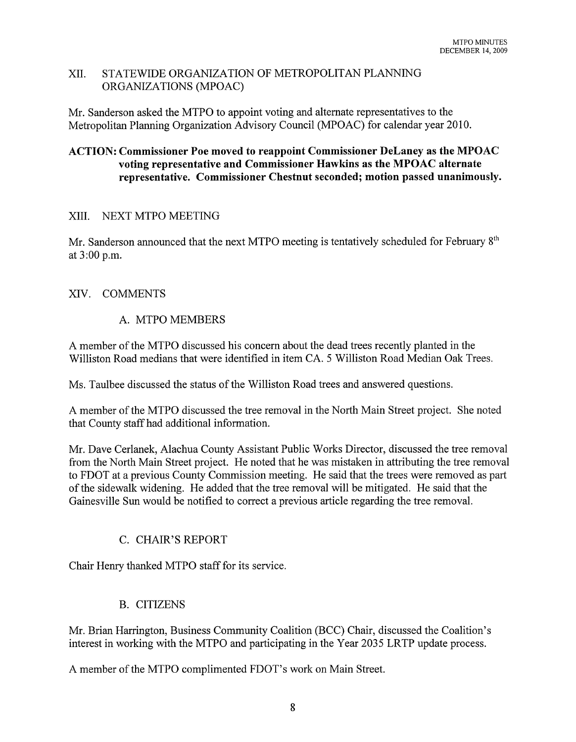#### XII. STATEWIDE ORGANIZATION OF METROPOLITAN PLANNING ORGANIZATIONS (MPOAC)

Mr. Sanderson asked the MTPO to appoint voting and alternate representatives to the Metropolitan Planning Organization Advisory Council (MPOAC) for calendar year 2010.

## ACTION: Commissioner Poe moved to reappoint Commissioner DeLaney as the MPOAC voting representative and Commissioner Hawkins as the MPOAC alternate representative. Commissioner Chestnut seconded; motion passed unanimously.

# XIII. NEXT MTPO MEETING

Mr. Sanderson announced that the next MTPO meeting is tentatively scheduled for February  $8<sup>th</sup>$ at 3:00 p.m.

# XIV. COMMENTS

# A. MTPO MEMBERS

A member of the MTPO discussed his concern about the dead trees recently planted in the Williston Road medians that were identified in item CA. 5 Williston Road Median Oak Trees.

Ms. Taulbee discussed the status of the Williston Road trees and answered questions.

A member of the MTPO discussed the tree removal in the North Main Street project. She noted that County staff had additional information.

Mr. Dave Cerlanek, Alachua County Assistant Public Works Director, discussed the tree removal from the North Main Street project. He noted that he was mistaken in attributing the tree removal to FDOT at a previous County Commission meeting. He said that the trees were removed as part of the sidewalk widening. He added that the tree removal will be mitigated. He said that the Gainesville Sun would be notified to correct a previous article regarding the tree removal.

# C. CHAIR'S REPORT

Chair Henry thanked MTPO staff for its service.

# B. CITIZENS

Mr. Brian Harrington, Business Community Coalition (BCC) Chair, discussed the Coalition's interest in working with the MTPO and participating in the Year 2035 LRTP update process.

A member of the MTPO complimented FDOT's work on Main Street.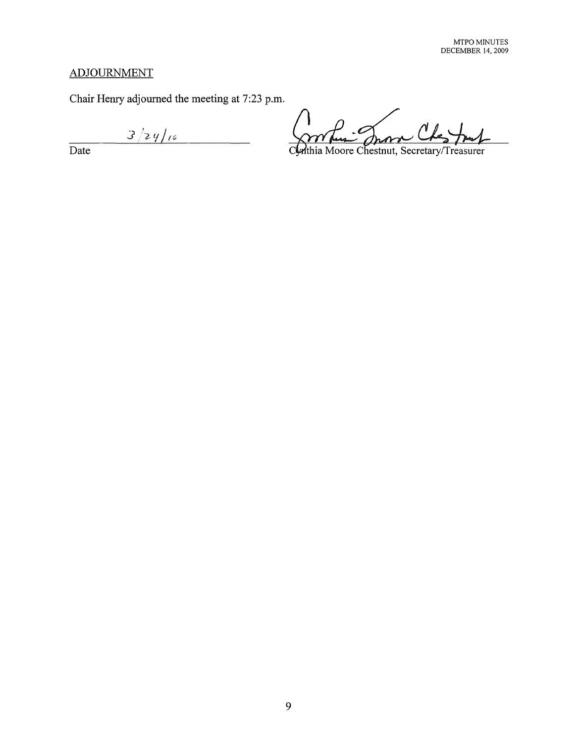# **ADJOURNMENT**

**Chair Henry adjourned the meeting at 7:23 p.m.** 

 $3/29/10$ 

**Date** 

Lui Jron

Cynthia Moore Chestnut, Secretary/Treasurer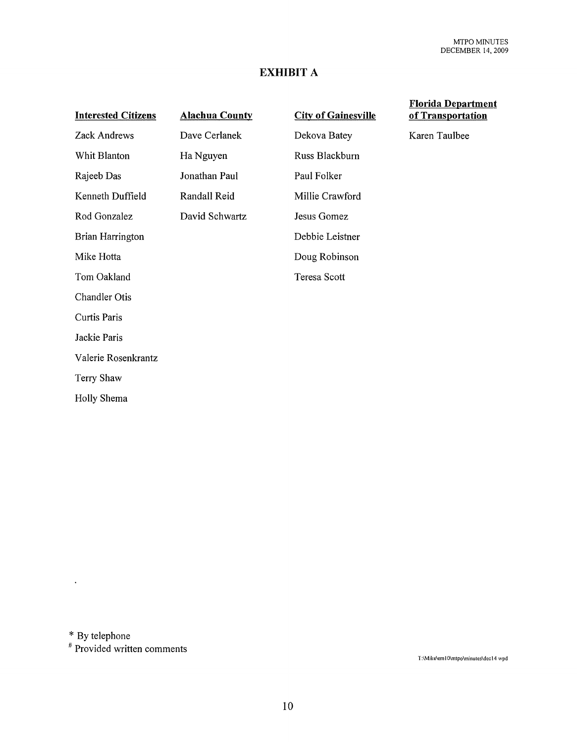# **EXHIBIT A**

| <b>Interested Citizens</b> | <b>Alachua County</b> |
|----------------------------|-----------------------|
| Zack Andrews               | Dave Cerlanek         |
| Whit Blanton               | Ha Nguyen             |
| Rajeeb Das                 | Jonathan Paul         |
| Kenneth Duffield           | Randall Reid          |
| Rod Gonzalez               | David Schwartz        |
| Brian Harrington           |                       |
| Mike Hotta                 |                       |
| Tom Oakland                |                       |
| Chandler Otis              |                       |
| <b>Curtis Paris</b>        |                       |
| Jackie Paris               |                       |
| Valerie Rosenkrantz        |                       |
| Terry Shaw                 |                       |
| Holly Shema                |                       |

City **of Gainesville**  Dekova Batey Russ Blackburn Paul Folker Millie Crawford Jesus Gomez Debbie Leistner Doug Robinson Teresa Scott

#### **Florida Department of Transportation**

Karen Taulbee

\* By telephone

 $\ddot{\phantom{0}}$ 

# Provided written comments

T:\Mike\em10\mtpo\minutes\dec14 wpd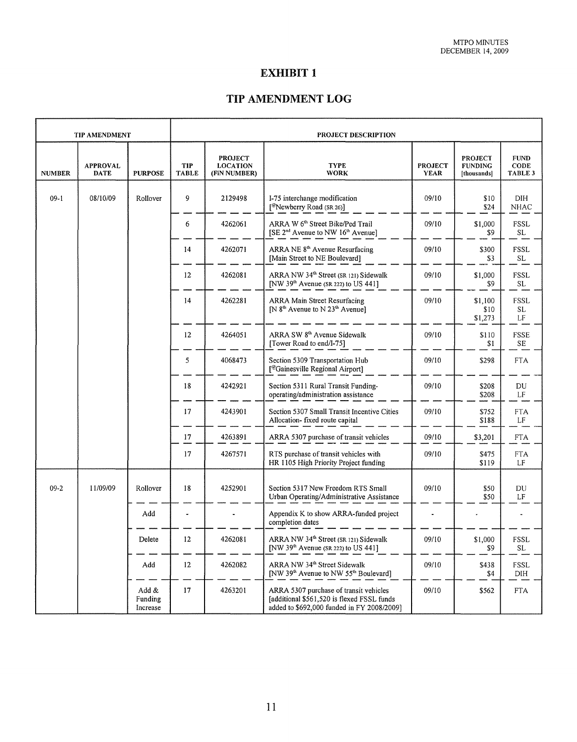# EXHIBIT 1

## TIP AMENDMENT LOG

| <b>TIP AMENDMENT</b> |                                | <b>PROJECT DESCRIPTION</b>   |                            |                                                   |                                                                                                                                    |                               |                                                 |                                    |
|----------------------|--------------------------------|------------------------------|----------------------------|---------------------------------------------------|------------------------------------------------------------------------------------------------------------------------------------|-------------------------------|-------------------------------------------------|------------------------------------|
| <b>NUMBER</b>        | <b>APPROVAL</b><br><b>DATE</b> | <b>PURPOSE</b>               | <b>TIP</b><br><b>TABLE</b> | <b>PROJECT</b><br><b>LOCATION</b><br>(FiN NUMBER) | <b>TYPE</b><br><b>WORK</b>                                                                                                         | <b>PROJECT</b><br><b>YEAR</b> | <b>PROJECT</b><br><b>FUNDING</b><br>[thousands] | <b>FUND</b><br>CODE<br>TABLE 3     |
| $09-1$               | 08/10/09                       | Rollover                     | 9                          | 2129498                                           | I-75 interchange modification<br>[ <sup>@</sup> Newberry Road (SR 26)]                                                             | 09/10                         | \$10<br>\$24                                    | DIH<br><b>NHAC</b>                 |
|                      |                                |                              | 6                          | 4262061                                           | ARRA W 6 <sup>th</sup> Street Bike/Ped Trail<br>[SE 2 <sup>nd</sup> Avenue to NW 16 <sup>th</sup> Avenue]                          | 09/10                         | \$1,000<br>\$9                                  | FSSL<br>SL.                        |
|                      |                                |                              | 14                         | 4262071                                           | ARRA NE 8 <sup>th</sup> Avenue Resurfacing<br>[Main Street to NE Boulevard]                                                        | 09/10                         | \$300<br>\$3                                    | <b>FSSL</b><br>SL                  |
|                      |                                |                              | 12                         | 4262081                                           | ARRA NW 34 <sup>th</sup> Street (SR 121) Sidewalk<br>[NW $39th$ Avenue (SR 222) to US 441]                                         | 09/10                         | \$1,000<br>\$9                                  | FSSL<br>SL                         |
|                      |                                |                              | 14                         | 4262281                                           | ARRA Main Street Resurfacing<br>[N 8 <sup>th</sup> Avenue to N 23 <sup>th</sup> Avenue]                                            | 09/10                         | \$1,100<br>\$10<br>\$1,273                      | <b>FSSL</b><br>SL.<br>LF           |
|                      |                                |                              | 12                         | 4264051                                           | ARRA SW 8 <sup>th</sup> Avenue Sidewalk<br>[Tower Road to end/I-75]                                                                | 09/10                         | \$110<br>\$1                                    | FSSE<br>SE                         |
|                      |                                |                              | 5                          | 4068473                                           | Section 5309 Transportation Hub<br>[@Gainesville Regional Airport]                                                                 | 09/10                         | \$298                                           | <b>FTA</b>                         |
|                      |                                |                              | 18                         | 4242921                                           | Section 5311 Rural Transit Funding-<br>operating/administration assistance                                                         | 09/10                         | \$208<br>\$208                                  | DU<br>LF                           |
|                      |                                |                              | 17                         | 4243901                                           | Section 5307 Small Transit Incentive Cities<br>Allocation- fixed route capital                                                     | 09/10                         | \$752<br>\$188                                  | <b>FTA</b><br>LF                   |
|                      |                                |                              | 17                         | 4263891                                           | ARRA 5307 purchase of transit vehicles                                                                                             | 09/10                         | \$3,201                                         | <b>FTA</b>                         |
|                      |                                |                              | 17                         | 4267571                                           | RTS purchase of transit vehicles with<br>HR 1105 High Priority Project funding                                                     | 09/10                         | \$475<br>\$119                                  | <b>FTA</b><br>LF                   |
| $09-2$               | 11/09/09                       | Rollover                     | 18                         | 4252901                                           | Section 5317 New Freedom RTS Small<br>Urban Operating/Administrative Assistance                                                    | 09/10                         | \$50<br>\$50                                    | DU<br>LF                           |
|                      |                                | Add                          |                            |                                                   | Appendix K to show ARRA-funded project<br>completion dates                                                                         |                               |                                                 |                                    |
|                      |                                | Delete                       | 12                         | 4262081                                           | ARRA NW 34th Street (SR 121) Sidewalk<br>[NW $39th$ Avenue (SR 222) to US 441]                                                     | 09/10                         | \$1,000<br>\$9                                  | <b>FSSL</b><br>$\operatorname{SL}$ |
|                      |                                | Add                          | $12 \,$                    | 4262082                                           | ARRA NW 34th Street Sidewalk<br>[NW 39 <sup>th</sup> Avenue to NW 55 <sup>th</sup> Boulevard]                                      | 09/10                         | \$438<br>\$4                                    | FSSL<br>DIH                        |
|                      |                                | Add &<br>Funding<br>Increase | 17                         | 4263201                                           | ARRA 5307 purchase of transit vehicles<br>[additional \$561,520 is flexed FSSL funds<br>added to \$692,000 funded in FY 2008/2009] | 09/10                         | \$562                                           | <b>FTA</b>                         |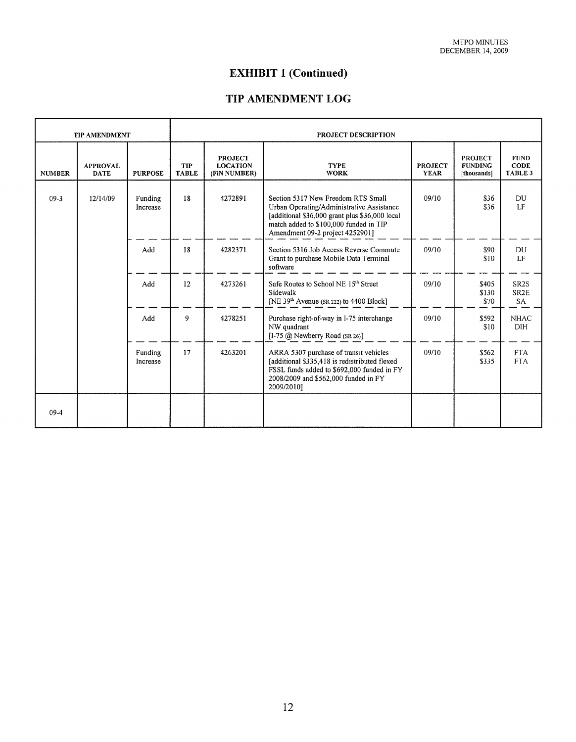# **EXHIBIT 1 (Continued)**

# **TIP** AMENDMENT LOG

 $\mathbf{r}$ 

| <b>TIP AMENDMENT</b> |                                | <b>PROJECT DESCRIPTION</b> |                            |                                                   |                                                                                                                                                                                                                 |                               |                                                 |                                              |
|----------------------|--------------------------------|----------------------------|----------------------------|---------------------------------------------------|-----------------------------------------------------------------------------------------------------------------------------------------------------------------------------------------------------------------|-------------------------------|-------------------------------------------------|----------------------------------------------|
| <b>NUMBER</b>        | <b>APPROVAL</b><br><b>DATE</b> | <b>PURPOSE</b>             | <b>TIP</b><br><b>TABLE</b> | <b>PROJECT</b><br><b>LOCATION</b><br>(FiN NUMBER) | <b>TYPE</b><br><b>WORK</b>                                                                                                                                                                                      | <b>PROJECT</b><br><b>YEAR</b> | <b>PROJECT</b><br><b>FUNDING</b><br>[thousands] | <b>FUND</b><br><b>CODE</b><br>TABLE 3        |
| $09 - 3$             | 12/14/09                       | Funding<br>Increase        | 18                         | 4272891                                           | Section 5317 New Freedom RTS Small<br>Urban Operating/Administrative Assistance<br>[additional \$36,000 grant plus \$36,000 local]<br>match added to \$100,000 funded in TIP<br>Amendment 09-2 project 4252901] | 09/10                         | \$36<br>\$36                                    | DU<br>LF                                     |
|                      |                                | Add                        | 18                         | 4282371                                           | Section 5316 Job Access Reverse Commute<br>Grant to purchase Mobile Data Terminal<br>software                                                                                                                   | 09/10                         | \$90<br>\$10                                    | <b>DU</b><br>LF                              |
|                      |                                | Add                        | 12                         | 4273261                                           | Safe Routes to School NE 15 <sup>th</sup> Street<br>Sidewalk<br>[NE 39 <sup>th</sup> Avenue (SR 222) to 4400 Block]                                                                                             | 09/10                         | \$405<br>\$130<br>\$70                          | SR <sub>2</sub> S<br>SR <sub>2</sub> E<br>SA |
|                      |                                | Add                        | 9                          | 4278251                                           | Purchase right-of-way in I-75 interchange<br>NW quadrant<br>$[1-75 \; (\alpha)$ Newberry Road (SR 26)]                                                                                                          | 09/10                         | \$592<br>\$10                                   | <b>NHAC</b><br><b>DIH</b>                    |
|                      |                                | Funding<br>Increase        | 17                         | 4263201                                           | ARRA 5307 purchase of transit vehicles<br>[additional \$335,418 is redistributed flexed]<br>FSSL funds added to \$692,000 funded in FY<br>2008/2009 and \$562,000 funded in FY<br>2009/2010]                    | 09/10                         | \$562<br>\$335                                  | FTA.<br><b>FTA</b>                           |
| $09-4$               |                                |                            |                            |                                                   |                                                                                                                                                                                                                 |                               |                                                 |                                              |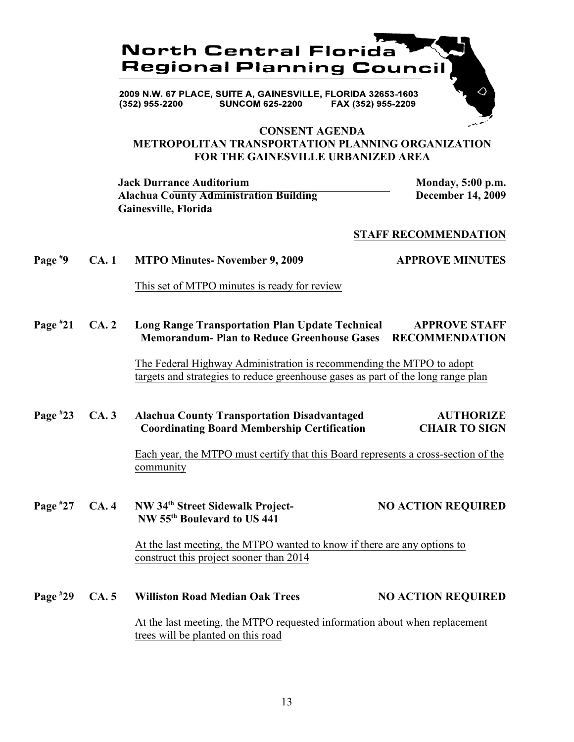

#### **CONSENT AGENDA METROPOLITAN TRANSPORTATION PLANNING ORGANIZATION FOR THE GAINESVILLE URBANIZED AREA**

**Jack Durrance Auditorium Monday, 5:00 p.m.** Alachua County Administration Building **December 14, 2009 Gainesville, Florida**

#### **STAFF RECOMMENDATION**

# **Page**  $*9$  **CA. 1 MTPO Minutes- November 9, 2009 APPROVE MINUTES**

This set of MTPO minutes is ready for review

**Page 21 CA. 2 Long Range Transportation Plan Update Technical APPROVE STAFF # Memorandum- Plan to Reduce Greenhouse Gases RECOMMENDATION**

> The Federal Highway Administration is recommending the MTPO to adopt targets and strategies to reduce greenhouse gases as part of the long range plan

**Page #23** CA. 3 Alachua County Transportation Disadvantaged AUTHORIZE  **Coordinating Board Membership Certification CHAIR TO SIGN**

> Each year, the MTPO must certify that this Board represents a cross-section of the community

#### **Page**  $*27$  **CA. 4 NW 34<sup>th</sup> Street Sidewalk Project- NO ACTION REQUIRED NW 55<sup>th</sup> Boulevard to US 441**

At the last meeting, the MTPO wanted to know if there are any options to construct this project sooner than 2014

**Page**  $*29$  **CA. 5 Williston Road Median Oak Trees NO ACTION REQUIRED** At the last meeting, the MTPO requested information about when replacement trees will be planted on this road